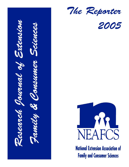*Research Journal of Extension Family & Consumer Sciences*

*The Reporter*





**National Extension Association of Family and Consumer Sciences**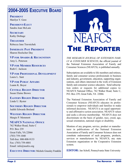## **xxx,** *Continued from previous page* **2004-2005 EXECUTIVE BOARD**

**PRESIDENT** Marilyn Y. Gore

**PRESIDENT-ELECT** Sandra Jean McLain

**SECRETARY** Kathy Dothage

**TREASURER** Rebecca Jane Travnichek

**IMMEDIATE PAST PRESIDENT** Sharon Hoelscher Day

**VP FOR AWARDS & RECOGNITION** Amy L. Peterson

**VP FOR MEMBER RESOURCES** Ruth C. Jackson

**VP FOR PROFESSIONAL DEVELOPMENT** Laura L. Sant

**VP FOR PUBLIC AFFAIRS** Luann K. Boyer

**CENTRAL REGION DIRECTOR** Susan Elaine Brown

**EASTERN REGION DIRECTOR** Linda U. Byster

**SOUTHERN REGION DIRECTOR** Judith Edwards Breland

**WESTERN REGION DIRECTOR** Margie P. Memmott

**NEAFCS NATIONAL OFFICE** 762 Walker Road, Suite C P.O. Box 239 Great Falls, VA 22066 (703) 759-1040 Toll-free: 800-808-9133 Fax: (703) 759-4801 Email: info@neafcs.org

**EXECUTIVE DIRECTOR:** Michele Grassley Franklin



*THE RESEARCH JOURNAL OF EXTENSION FAMI-LY & CONSUMER SCIENCES*, the official journal of the National Extension Association of Family and Consumer Sciences (NEAFCS), is published annually.

Subscriptions are available to life members and retirees, family and consumer science professionals in business and industry, government, education, supporting organizations, and others interested in the work of Extension family and consumer science educators. Send subscription orders or requests for additional copies to: NEAFCS National Office, 762 Walker Road, Suite C, P.O. Box 239, Great Falls, VA 22066.

The National Extension Association of Family and Consumer Sciences (NEAFCS) educates its professionals to empower individuals and families to make informed decisions. NEAFCS is an equal opportunity and affirmative action association. NEAFCS values and seeks a diverse membership. NEAFCS does not discriminate on the basis of gender, race, creed, age, sexual orientation, national origin or disability.

Mention of any program, service, product or manufacturer in publications of the National Extension Association of Family and Consumer Sciences does not constitute endorsement of such programs, products, services or manufacturers by NEAFCS, any state Extension organization or the Cooperative Extension system.

**EDITOR:** Jan Scholl, Pennsylvania State University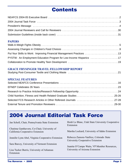# **Contents**

#### **PAPERS**

| Put Your Skills to Work: Improving Financial Management Practices 13 |  |
|----------------------------------------------------------------------|--|
| PYSTW: An Employment Education Program for Low-Income Hispanics 17   |  |
|                                                                      |  |

### **GRACE FRYSINGER TRAVEL FELLOWSHIP REPORT**

|--|--|--|--|

### **SPECIAL FEATURES**

| Research to Practice Articles/Research Fellowship Opportunity 24 |  |
|------------------------------------------------------------------|--|
|                                                                  |  |
| Selected FCS Research Articles in Other Refereed Journals 27-28  |  |
|                                                                  |  |

# **2004 Journal Editorial Task Force**

| Jan Scholl, Chair, Pennsylvania State Extension                                 | Heidi Le Blanc, Utah State University Cooperative<br>Extension             |
|---------------------------------------------------------------------------------|----------------------------------------------------------------------------|
| Chutima Ganthavorn, Co-Chair, University of<br>California Cooperative Extension | Marsha Lockard, University of Idaho Extension                              |
| Jennifer Lynn Abel, Virginia Cooperative Extension                              | Rebecca Zamora-VanSice, Colorado State<br>University Cooperative Extension |
| Sara Burczy, University of Vermont Extension                                    | Juanita O'Campo Waits, VP Member Resources,                                |
| Lisa Tucker Burris, University of Arkansas<br>Extension                         | University of Arizona Extension                                            |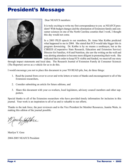# **President's Message**



Dear NEAFCS members:

It is truly exciting to write my first correspondence to you as NEAFCS president! With budget changes and the elimination of Extension family and consumer sciences in one of the North Carolina counties that I work, I thought this day would not come.

In a 2003 PILD speech to our members, Dr. Anna Mae Kobbe predicted what happened to me in 2004. She stated that FCS would take bigger hits in program downsizing. Dr. Kobbe is by no means a soothsayer, but as the CSREES (Cooperative State Research, Education and Extension Service) Director for Families, 4-H and Nutrition, she saw the writing on the wall and was alerting attendees to become more diligent in promoting their work. She indicated that in order to keep FCS visible and funded, we must tell our story

through impact statements and local data. The Research Journal of Extension Family & Consumer Sciences (The Reporter) serves as a vehicle for us to do this.

I would encourage you not to place this document in your TO READ pile, but, do three things:

- 1. Read the journal from cover to cover and write letters or notes of thanks and encouragement to all of the Extension researchers,
- 2. Consider submitting an article for future editions, and
- 3. Share this document with your co-workers, local legislators, advisory council members and other supporters.

Special thanks to all of the Extension researchers who have provided timely information for inclusion in this journal. Your work is an inspiration to all of us and is valuable to our efforts.

Thanks to the task force, the peer reviewers and to the Vice President for Member Resources, Juanita Waits, in making this edition of the journal possible.

by Geore

Marilyn Y. Gore 2004-2005 NEAFCS President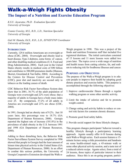# **Walk-a-Weigh Fights Obesity**

### **The Impact of a Nutrition and Exercise Education Program**

*K.S.U. Jayaratne, Ph.D. Evaluation Specialist University of Georgia*

*Connie Crawley, M.S., R.D., L.D., Nutrition Specialist University of Georgia*

*Gail M. Hanula, Ed.S., R.D., L.D., EFNEP/FNP Coordinator University of Georgia*

#### **INTRODUCTION**

Currently, 129.6 million Americans are overweight or obese (CDC, 2004). Overweight and obesity lead to heart disease, Type 2 diabetes, some forms of cancer, and other disabling medical conditions (U.S. Food and Drug Administration, 2004). Each year in the United States obesity results in medical costs of \$90 billion and contributes to 300,000 premature deaths (Manson, Skerret, Greenland & Van Itallie, 2004). According to the Centers for Disease Control and Prevention (CDC), poor diet and inactivity are second only to tobacco as the leading causes of death.

CDC Behavior Risk Factor Surveillance System data show that in 2001, 36.7% of the adult population of Georgia were overweight and 22% were obese; that a majority of adults in Georgia have a body mass index over 25. By comparison, 37.2% of all adults in America are overweight and 21% are obese (CDC, 2004).

In 1991, Georgia had an obesity rate of 9.2%. Just 10 years later, this percentage rose to 18.7% (GA Department of Human Resources, 2000). Georgia reported the highest rate of increase (101.8%) in the prevalence of adult obesity in the U.S. between 1991 and 1998 (GA Department of Human Resources, 2000).

Adding to these disturbing facts, the Behavior Risk Factor Surveillance System Survey completed in 1996 showed that people in Georgia had the least amount of leisure time physical activity in the United States (GA Department of Human Resources, 2000). In an effort to combat this serious problem, the University of Georgia Cooperative Extension developed the Walk-aWeigh program in 1998. This was a project of the foods and nutrition Extension staff that included five registered dietitians. The initial curriculum consisted of 13 lessons and 11 more lessons were added two years later. The topics cover a wide range of nutrition and health issues from cutting calories, fat, and sodium to reducing risk for foodborne illnesses and cancer.

#### **PURPOSES AND OBJECTIVES**

The purpose of the Walk-a-Weigh program is to educate people to improve their health by adopting good dietary practices and exercise habits. This purpose is accomplished through the following objectives:

- 1. Improve cardiovascular fitness through a regular walking program or some other aerobic activity.
- 2. Limit the intake of calories and fat to promote weight control.
- 3. Change eating and activity habits to reduce or control risk factors for common chronic diseases.
- 4. Promote good food safety habits.
- 5. Provide social support for these lifestyle changes.

This program changes participants' behavior toward a healthy lifestyle through a participatory learning approach. Agents usually offer 6-10 lessons during each Walk-a-Weigh series. Each session features a 15 minute lecture using a slide presentation and handouts on some health-related topic, a 45-minute walk or some other physical activity session, and a taste test of a reduced calorie recipe. Agents select, from a total of 24 lessons, those topics of particular interest to their audience. Since this is an on-going program, partici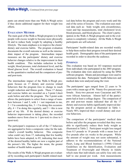pants can attend more than one Walk-A-Weigh series if they desire additional support for their weight loss efforts.

#### **EVALUATION METHOD**

The main goal of the Walk-a-Weigh program is to help people with excess weight to become more physically fit and to reduce body weight by adopting a healthy lifestyle. The main emphasis is to improve the clients' dietary and exercise habits. The program evaluation documents the overall outcome as well as the intermediate impact of the program. Intermediate impact measures are the participants' dietary and exercise behavior changes relative to the improvement in their health condition. This includes reduction in body weight, blood pressure, total cholesterol level, and the blood glucose level. The overall evaluation is based on the quantitative method and the comparison of preand post-tests.

The intermediate impact of the Walk-A-Weigh program focuses on 17 dietary and exercise related behaviors that the program tries to change to reach weight reduction and fitness goals. These 17 dietary and exercise habits are recorded on a 5-point Likert scale before and after the program. The 5-point scale allows the participants to select from a range of numbers between 1 and 5, with  $1 =$  not important to me,  $2 = I'm$  considering this,  $3 = I'm$  doing this occasionally,  $4 = I'm$  doing this regularly, and  $5 =$  this is now part of my life. If the desired dietary or exercise behavior improvement is taking place, the recorded numbers move from close to 1 (pre-test) to close to 5 (post-test).

The participant's responses to all of the 17 behaviors are aggregated to form a composite value for the individual's overall healthy behavior. This composite value could vary from 17, indicating that few healthy habits have been adopted, to 85, indicating that most of the desired healthy habits are now a regular part of the person's life. The higher the mean, the greater number of health habits acquired.

The results of the Walk-A-Weigh program are evaluated by recording each participant's health related medical data before the program and every week until the end of the series of lessons. The evaluation uses medical data such as: body weight, arm circumference, waist and hip measurements, total cholesterol level, blood pressure, and blood glucose. The client's participation in the Walk-A-Weigh program and in the evaluation is completely voluntary. All the Walk-A-Weigh participants are self-selected.

Participants' health-related data are recorded weekly to help them realize their progress toward their desired health goals. Demographic data of the participants are recorded in order to describe the audience.

#### **FINDINGS**

This evaluation was based on 163 responses received from individuals who participated in the 2003 program. The evaluation data were analyzed by using the SPSS software program. Means and percentages were used to summarize the data. Participants' health behaviors and medical data were analyzed using the t-test.

The participants' ages ranged from 22 years to 76 years with a mean age of 46. Ninety-five percent were female. Sixty-two percent were Caucasian and 38% were African American. Almost half of the participants had at least a college degree. The comparison of pre and post-test means indicated that all the 17 dietary and exercise habits significantly improved during the program period as illustrated in Table 1. Nearly 96% improved their overall dietary and exercise behaviors.

The comparison of the participants' medical data before and after the program revealed that they were able to significantly reduce their body weight as illustrated in Table 2. Participant weight loss ranged from 0.5 pounds to 18 pounds with a mean loss of five pounds after six weeks in the program. While the amount of weight may not seem substantial, it adheres to the recommendations of the National Heart, Lung and Blood Institute's (1998) Clinical Guidelines on the Identification, Evaluation and Treatment of Overweight and Obesity in Adults which state that individuals can safely lose only one half to one pound per week. Arm measurements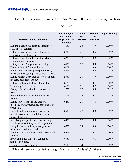Table 1. Comparison of Pre- and Post-test Means of the Assessed Dietary Practices

|                                                                                                    | Percentage of<br><b>Participants</b> | Mean at<br>the | Mean at<br>the | Significance p |
|----------------------------------------------------------------------------------------------------|--------------------------------------|----------------|----------------|----------------|
| <b>Desired Dietary Behavior</b>                                                                    | <b>Improved</b> the<br>Practice      | Pre-test       | Post-test      |                |
| Making a conscious effort to limit fat to<br>30% of total calories.                                | 70%                                  | 2.9            | 3.9            | $.000**$       |
| Eating at least six servings of breads,<br>grains and cereal each day.                             | 67%                                  | 2.7            | 3.6            | $.000**$       |
| Eating at least 1 whole wheat or whole<br>grain product each day.                                  | 62%                                  | 2.9            | 3.9            | $.000**$       |
| Eating at least 3 vegetables each day.                                                             | 68%                                  | 3.2            | 4.0            | $.000**$       |
| Eating at least 2 fruits each day.                                                                 | 60%                                  | 3.1            | 3.9            | $.000**$       |
| Eating dried beans or peas (pinto beans,<br>black-eyed peas, etc.) at least once a week.           | 49%                                  | 2.7            | 3.3            | $.001**$       |
| Eating at least 2 servings of low-fat or non-<br>fat dairy products each day.                      | 55%                                  | 3.1            | 3.9            | $.000**$       |
| Eating chicken or turkey without skin.                                                             | 61%                                  | 3.3            | 4.1            | $.000**$       |
| Trimming fat from meat.                                                                            | 61%                                  | 3.5            | 4.2            | $.000**$       |
| Eating fish and seafood at least once a<br>week.                                                   | 57%                                  | 3.2            | 3.8            | $.001**$       |
| Baking, broiling or grilling rather than<br>frying.                                                | 51%                                  | 3.6            | 4.1            | $.003**$       |
| Eating low-fat snacks and desserts<br>(pretzels, fruits, vegetables, or reduced-fat<br>products).  | 64%                                  | 3.1            | 3.8            | $.000**$       |
| Using low-fat condiments (low-fat or<br>nonfat mayonnaise, low-fat margarine,<br>mustard, catsup). | 65%                                  | 2.9            | 3.8            | $.000**$       |
| Modifying recipes to lower fat by using<br>less fat or substituting low-fat ingredients.           | 69%                                  | 2.7            | 3.9            | $.000**$       |
| Using herbs and spices, lemon juice or<br>wine as a substitute for salt.                           | 65%                                  | 2.8            | 3.9            | $.000**$       |
| Reading nutrition labels to help make food<br>choices.                                             | 64%                                  | 3.3            | 4.1            | $.000**$       |
| Exercising three times a week for 30<br>minutes at a time.                                         | 49%                                  | 3.2            | 3.8            | $.000**$       |
| <b>Overall Healthy Behavior</b>                                                                    | 96%                                  | 51             | 64             | $.000**$       |

 $(N = 101)$ 

\*\*Mean difference is statistically significant at  $p = 0.01$  level (2-tailed).

*Continued on next page*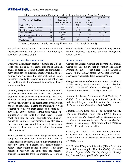### **Walk-a-Weigh,** *Continued from previous page*

| <b>Type of Medical Data</b> | N  | Percentage<br>Improving<br><b>Health Condition</b> | Mean at<br>the<br><b>Pre-test</b> | Mean at<br>the<br>Post-test | Significance p |
|-----------------------------|----|----------------------------------------------------|-----------------------------------|-----------------------------|----------------|
| Weight (Pounds)             | 93 | 85%                                                | 201.1                             | 195.9                       | $.000**$       |
| Waist Measurement (Inches)  | 53 | 53%                                                | 39.2                              | 38.8                        | .190           |
| Hip Measurement (Inches)    | 52 | $55\%$                                             | 45.9                              | 45.4                        | .078           |
| Blood pressure              | 99 | $42\%/56\%$                                        | 131/78                            | 131/81                      | .991/.305      |
| Arm Measurement (Inches)    | 30 | 43%                                                | 12.9                              | 12.3                        | $.004**$       |
| <b>Blood Glucose</b>        | 20 | 56%                                                | 107.4                             | 95.4                        | .212           |
| <b>Total Cholesterol</b>    | 39 | 35%                                                | 195.9                             | 185.2                       | .105           |

Table 2. Comparison of Participants' Medical Data Before and After the Program

\*\*Mean difference is statistically significant at  $p = 0.01$  level (2-tailed).

also reduced significantly. The average waist and hip measurements, total cholesterol, and blood glucose level decreased slightly.

#### **SUMMARY AND IMPLICATIONS**

Obesity is a significant social problem in the U.S. due to its economic and social costs. It is one of the main causes of heart disease and diabetes and contributes to many other serious illnesses. Inactivity and high calorie meals and snacks are the main contributing factors to obesity. Available research supports the notion that this epidemic can be addressed by changing dietary and exercise habits.

O'Neill (2004) mentioned that "consumers often don't practice what FCS educators...teach." Most extension programs focus on improving knowledge and skills. The Walk-a-Weigh participants practice new skills to improve their nutrition and health habits by individual and group activities. During the training, they walk together to reinforce their efforts to become more physically active; discuss (during their walks) the application of the content of each lesson through "Walk-and-Talk" questions; and taste reduced calorie recipes at the end of each session. They also record their own progress toward their weight goals, contributing to their motivation to adopt the desired behavior changes.

The responses received from 163 participants who completed the evaluation indicate that the Walk-a-Weigh program is effective in helping participants significantly change their dietary and exercise habits to achieve their weight reduction goals. This study measured behavior and anthropometric measure changes that resulted from the program. A follow-up study is needed to show that this participatory learning method produces sustained behavior change and weight control.

#### **REFERENCES**

Centers for Disease Control and Prevention, National Center for Chronic Disease Prevention and Health Promotion. (2004). Fact Sheet: *Actual Causes of Death in the United States*, 2000, http://www.cdc. gov/nccdph/factsheets/death\_causes2000.html

Georgia Department of Human Resources, Division of Public Health, Family Branch, Nutrition Section. (2000). *Status of Obesity in Georgia.* (DHR Publication No. DPH01.15HW), Atlanta, GA.

Manson, J., Skerret, P., Greenland, P., & VanItallie, T. (2004). The escalating pandemics of obesity and sedentary lifestyle: A call to action for clinicians. *Archives of Internal Medicine*, 164, 249-258.

National Heart, Lung and Blood Institute Obesity Education Initiative Expert Panel. (1998). *Clinical Guidelines on the Identification, Evaluation and Treatment of Overweight and Obesity in Adults - Executive Summary*, http://www.nhlbi.nih/cardio/ obes/prof/guidelns/sum\_evid.htm

O'Neill, B. (2004). Research on a shoestring: Collecting data using online assessment tools. *Research Journal of Extension Family & Consumer Sciences*, 11-14.

U.S. Food and Drug Administration (FDA), Center for Food Safety and Applied Nutrition (2004). *Calories Count: Report of the Working Group on Obesity,* http://www.cfan.fda.gov/dms/owg-toc.html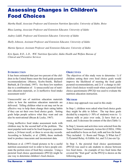# **Assessing Changes in Children's Food Choices**

*Martha Raidl, Associate Professor and Extension Nutrition Specialist, University of Idaho, Boise*

*Rhea Lanting, Associate Professor and Extension Educator, University of Idaho*

*Audrey Liddil, Professor and Extension Educator, University of Idaho*

*Shelly Johnson, Assistant Professor and Extension Educator, University of Idaho*

*Marnie Spencer, Assistant Professor and Extension Educator, University of Idaho*

*Kris Spain, R.D., L.D., WIC Nutrition Specialist, Idaho Health and Welfare Bureau of Clinical and Preventive Services*

#### **INTRODUCTION**

It has been estimated that just two percent of the children in the United States meet the food guide pyramid recommendations (Munoz, Krebs-Smith, Ballard-Barbash, & Cleveland, 1997). Are these low numbers due to a combination of: 1) unsuccessful use of nutrition education materials, or 2) ineffective food intake assessment tools?

Unsuccessful use of nutrition education materials refers to how the nutrition education materials are delivered. Telling children what to eat may not be an effective way to help them change their eating habits if they can set their own food choice goals. Setting goals helps people achieve what they want and can also be motivational (Bryan & Locke, 1967).

Using ineffective food intake assessment tools with children may be the second half of the problem. The most popular tools tend to be food frequency questionnaires, a 24-hour recall, or three to seven day records. According to Schaefer, et al. (2000), these methods tend to produce inaccurate and inconsistent data.

Robinson et al. (1997) found pictures to be a useful nutrition assessment tool in order to have people estimate the portion sizes of food they consume. Using a pictorial food choice questionnaire (PFCQ) might be one way to determine children's food choices.

#### **OBJECTIVES**

The objectives of this study were to determine: 1) if children setting their own food choice goals would improve the likelihood of meeting the food guide pyramid recommendations, and 2) if a change in children's food choices would result when a pictorial food choice questionnaire (PFCQ) was used to evaluate the nutrition education instruction.

#### **METHOD**

A three step approach was used in this study:

In Step 1, children were asked what food choice goals they might be able to follow. The top three goals decided by a majority  $(> 50\% \text{ of students})$  were to: 1) choose milk or juice over soda, 2) have fruit as a snack, and 3) decrease fat content of the diet (Table 1).

In Step 2, lessons and activities were selected from the Team Nutrition Community Action Kit (USDA, 1996) and modified to focus on fruit, milk and low-fat foods. They included: 1) Roots and Things, 2) What Am I? 3) Pyramid Relay, 4) Edible Art, and 5) Line-em Up.

In Step 3, the pictorial food choice questionnaire (PFCQ) was used to ask students to choose between two food items. An example of two food items that covered the "fruit goal" on the PFCQ is shown on the following page.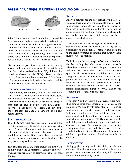### **Assessing Changes in Children's Food Choices,** *Continued from previous page*



Table 2 indicates the three food choice goals and the food items the students were asked to select from. Note that for both the milk and fruit goals, students were asked to choose between two foods. To determine whether students decreased fat in the diet, four foods were indicated, representing both snack and entrée items. Four were included as a higher percentage of students wanted to select lower fat foods.

Five instructors participated in a two-hour training session to demonstrate how to use the materials, conduct the activities and collect data. Fifty children pilot tested the classes and the PFCQ. Based on these results, the class activities were revised. More "hands on" experiences were included for the students and the pictures were made easier to identify.

#### **SUBJECTS AND IMPLEMENTATION**

Approximately 90 children, third to fifth grade students from five schools, determined food choice goals, and completed all lessons and the PFCQ. Classes were conducted by Extension educators and paraprofessionals. The students completed the PFCQ at three intervals: 1) Pre (before the classes), 2) Post (at the end of the last class), and 3) Follow-Up (after a onemonth interval).

#### **STATISTICAL ANALYSIS**

The PFCQ data were analyzed using chi-square and repeated measures. Statistical significance was set at the 0.05 level. Bonferroni tests were conducted to determine significant differences between pre, post, and follow-up results. Since intact classes were used, this was determined a quasi-experimental design, the subjects serving as their own control.

The data from the PFCQ were analyzed in two ways: 1) individually and 2) combined. Each set of pictures was analyzed separately to determine changes in food choices.

#### **FINDINGS**

Analysis between pre and post data, shown in Table 3, indicates there was no significant difference in health food choices from pre to post to follow-up. However, there was a trend in the pre and post results, showing an increase in the number of students who chose milk over soda, popcorn over potato chips, and baked chicken over chicken nuggets.

There was virtually no change in the percentage of students who chose fruit over a cookie (85% at the post/follow-up evaluations). This may have been due to the high percentage of students that initially chose fruit (83%) over cookies.

Table 4 shows the percentages of students who chose the four healthy food choices at the three intervals when the data were combined. The pre to post results indicate that there was a significant increase  $(p < .0001)$  in the percentage of children (from 61% to 72%) who selected all four healthy foods after completing these lessons. At the one month follow-up, there was a decrease in the percentage of children selecting the four healthy choices, but the means remained significantly higher ( $p < 0.012$ ) than prior to completing the Team Nutrition classes.

#### **SUMMARY**

Five Team Nutrition lessons and activities were modified around three food choice goals selected by the majority of 90 third to fifth grade students. The three food choice goals were to choose: 1) milk over soda, 2) fruit over cookies, and 3) lower-fat food items. To determine if students met their food goals, a pictorial food choice questionnaire (PFCQ) was designed to reflect the students' food choice goals and food items discussed in class. The individual pre, post and follow-up data showed that students increased milk and low-fat food choice items. The combined data indicated that a significant number of students made better choices.

#### **IMPLICATIONS**

Setting goals not only works for adults, but also for children. Nutrition education should include a component where children can plan how they will improve their health through daily choices.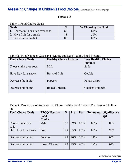### **Assessing Changes in Children's Food Choices,** *Continued from previous page*

### **Tables 1-3**

Table 1. Food Choice Goals

| Goals                             |    | % Choosing the Goal |
|-----------------------------------|----|---------------------|
| 1. Choose milk or juice over soda |    | 64%                 |
| 2. Have fruit for a snack         | 88 | 56%                 |
| 3. Decrease fat in diet           |    | 82%                 |

Table 2. Food Choices Goals and Healthy and Less Healthy Food Pictures

| <b>Food Choice Goals</b> | <b>Healthy Choice Pictures</b> | <b>Less Healthy Choice</b> |
|--------------------------|--------------------------------|----------------------------|
|                          |                                | <b>Pictures</b>            |
| Choose milk over soda    | Milk                           | Soda                       |
| Have fruit for a snack   | Bowl of fruit                  | Cookie                     |
| Decrease fat in diet     | Popcorn                        | Potato Chips               |
| Decrease fat in diet     | <b>Baked Chicken</b>           | <b>Chicken Nuggets</b>     |

Table 3. Percentage of Students that Chose Healthy Food Items at Pre, Post and Followup.

| <b>Food Choice Goals</b> | <b>PFCQ Healthy</b>  | N  | Pre | <b>Post</b> | <b>Follow-up</b> | <b>Significance</b> |
|--------------------------|----------------------|----|-----|-------------|------------------|---------------------|
|                          | Food                 |    |     |             |                  | (p)                 |
|                          | <b>Choice</b>        |    |     |             |                  |                     |
| Choose milk over         | Milk                 | 87 | 69% | 82%         | 80%              | .055                |
| soda                     |                      |    |     |             |                  |                     |
| Have fruit for a snack   | Fruit                | 89 | 83% | 85%         | 85%              | .907                |
|                          |                      |    |     |             |                  |                     |
| Decrease fat in diet     | Popcorn              | 89 | 40% | 56%         | 51%              | .052                |
|                          |                      |    |     |             |                  |                     |
| Decrease fat in diet     | <b>Baked Chicken</b> | 85 | 49% | 66%         | 58%              | .073                |
|                          |                      |    |     |             |                  |                     |

*Continued on next page*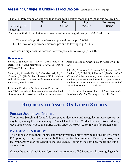### **Assessing Changes in Children's Food Choices,** *Continued from previous page*

| TWOTO II I OTOOIRAQU OT DRAGOIRD RIME OITODU TOMI ITUMIRII)<br>TOOUS AC STORE SOUGH ALLY TO HOT AND. |    |          |          |                  |  |
|------------------------------------------------------------------------------------------------------|----|----------|----------|------------------|--|
|                                                                                                      |    | Pre      | Post     | <b>Follow-up</b> |  |
| Percentage of<br><b>Students</b>                                                                     | 88 | $61\%a*$ | $72\%b*$ | $68\%b*$         |  |

Table 4. Percentage of students that chose four healthy foods at pre, post, and follow-up.

\*Values with different letters in a row or column are significantly ( $p < 0.01$ ) different.

- a) The level of significance between pre and post is  $p \le 0.0001$
- b) The level of significance between pre and follow-up is  $p \le 0.012$

There was no significant difference between post and follow-up ( $p \le 0.186$ ).

#### **REFERENCES**

Bryan, J. & Locke, E. (1967). Goal-setting as a means of increasing motivation. *Journal of Applied Psychology*, 51, 274-277.

Munoz, K., Krebs-Smith, S., Ballard-Barbash, R., & Cleveland, L. (1997). Food intakes of U.S. children and adolescents compared with recommendations. *Pediatrics, 100*, 323-329.

Robinson, F., Morriz, W., McGuiness, P., & Hackett, A. (1997). A study of the use of a photographic food atlas to estimate served and self-serve portion sizes. *Journal of Human Nutrition and Dietetics*, 10(2), 117- 124.

Schaefer, E., Austin, J., Schaefer, M., Rasmussen, H., Orodovas, J., Dallal, G., & Dwyer, J. (2000). Lack of efficacy of a food-frequency questionnaire in assessing dietary macronutrient intakes in subjects consuming diets of known composition. *American Journal of Clinical Nutrition*, 71(3), 746-751.

U.S. Department of Agriculture. (1996). *Community Nutrition Action Kit*, Washington, DC: USDA.

### **REQUESTS TO ASSIST ON-GOING STUDIES**

### **PROJECT SEARCH AND IDENTIFY**

The project Search and Identify is designed to document and recognize military service (at any time) among FCS membership. Contact Janet Gibbs, 135 Meadow View Road, Athens, GA 30606 or Rita Wood, 186 Bartal Court, Atco, NJ 08004-2280, rawood@ri.rutgers.com

### **EXTENSION FCS HISTORY**

The National Agricultural Library and your university library may be looking for Extension FCS photos, theses, reports, music, bulletins, etc. for their archives. Before you toss, contact your archivist or Jan Scholl, jscholl@psu.edu. Libraries look for new media and publications, too.

Contact the editorial task force if you need the assistance of FCS educators in an on-going study.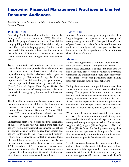### **Improving Financial Management Practices in Limited Resource Audiences**

*Cynthia Burggraf Torppa, Associate Professor, Ohio State University Morrow County*

#### **INTRODUCTION**

Improving family financial security is central to the family and consumer sciences (FCS) discipline. Whether helping adolescents to develop financial literacy, guiding mid-lifers toward financial security in later life, or simply helping young families stretch their food dollar in order to keep nutritious meals on the table, most FCS educators devote at least some portion of their time to teaching financial management skills.

Trying to motivate individuals whose incomes are near or below national poverty standards to practice basic money management skills can be challenging, especially among families who have endured generations of poverty. Rather than feeling like they can improve their financial situations, the generationally poor are apt to feel controlled by external forces (DeVol, Smith & Payne, 2000; Payne, 1998). To them, it is the amount of money one has, rather than one's skill in managing it, that creates happiness and security.

The difficulty the generationally poor have in applying money management skills can be frustrating to educators. According to Social Learning Theory (Rotter, 1966; Clements, Sabourin & Spiby, 2004; Perry, 2003), to understand human behavior, we have to analyze the expectancies individuals hold.

Expectancies refer to the beliefs about the likelihood of success or failure that will result from particular actions. Some individuals whose expectancies reflect an internal locus of control, believe their choices and actions contribute to their successes and failures. Others, whose expectancies reflect an external locus of control, believe success or failure is primarily due to luck, fate or forces other than themselves (Rotter, 1990; Strickland, 1989). Individuals experiencing generational poverty either do not see themselves as capable of influencing their financial situations or view financial situations amenable to influence.

#### **HYPOTHESES**

A successful money management program that challenges inappropriate expectancies about money and money management would reduce participants' sense of powerlessness over their financial condition (external locus of control) and help participants realize they have more control to shape their own financial futures (internal locus of control).

#### **METHOD**

To test these hypotheses, a traditional money management course was taught. During the first session, a 90 minute class discussion, a budget simulation activity, and a visionary process were developed to overcome unrealistic and dysfunctional beliefs about money that often inhibit low-income participants from making important changes in their fiscal behaviors.

During the class discussion, participants shared their views about money and about people who have money. The purpose of this discussion was to create balanced and realistic expectancies about money and money management practices. Findings that confirmed negative expectancies, when appropriate, were also shared. For example, several studies document that a lack of money can be a major source of distress.

When contradictory or controversial views were expressed, the instructor shared research findings that reinforced realistic and functional expectancies about money and money management skills. For example, Argyle (1986), Argyle (1999), Inglehart (1990) and Lykken (1999) found that having more money does not create more happiness. Able to pay bills on time, live in a reasonably comfortable home and have a few small pleasures, people feel financially secure.

To help overcome the sense that happiness and financial well-being is the result of luck or fate, findings were shared that the happiness that comes from instant money is brief, and in fact, winning the lottery can create unhappiness (Brickman, Coates & Janoff-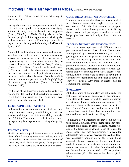### **Improving Financial Management Practices,** *Continued from previous page*

Bulman, 1978; Gilbert, Pinel, Wilson, Blumberg & Wheatley, 1998).

During the discussion, examples were shared to indicate that having good relationships and a satisfying spiritual life may hold the keys to real happiness (Diener, 2000; Myers, 2000). Findings also show that the more people look for happiness in extrinsic goals, such as money, the more problems they reported having and the less healthy and robust they felt (Kasser & Ryan, 1966).

Among 800 college alumni who responded to a survey, those who preferred a high income, occupational success and prestige to having close friends and a happy marriage, were more than twice as likely to describe themselves as "fairly" or "very" unhappy (Perkins, 1991). Diener, Sandvik, Seidlitz and Diener (1993) also reported that those whose incomes had increased over time were not happier than those whose incomes remained about the same. Even the wealthiest Americans were reported to be only "slightly" happier than average Americans (Diener, Horwitz & Emmons, 1985).

By the end of the discussion, many participants were open to the idea that they had everything necessary to live a happy and satisfying life—right now—even with the money they currently had.

#### **BUDGET SIMULATION ACTIVITY**

Following the discussion, participants took part in a budget simulation activity in which they experienced a substantial improvement in their ability to make their "fictitious" incomes cover all of their expenses by organizing their expenses and creating a budgeting plan.

#### **POSITIVE VISION**

Finally, to help the participants focus on a positive vision of the future, they were asked to draw, with colored markers, an optimistic (but realistic) picture of where they would be in three years, if they practiced the skills learned during the remainder of the classes.

#### **CLASS ORGANIZATION AND PARTICIPATION**

The entire course included three sessions, a total of seven hours of in-class time taught over a period of one month. After the first session, the program focused on the basics of money management. During these classes, each participant created a six month budget plan based on their unique financial circumstances.

#### **PROGRAM SUPPORT AND DEMOGRAPHICS**

The classes were replicated with different participants—twelve times to 117 participants. The program was supported by a prevention, retention, and contingency grant from the Department of Job and Family Services that required participants to be adults with minor children living at home. No one could participate with an income greater than 200% of the federal poverty guidelines. Participants were residential customers that were recruited by the local electric cooperative, most of whom were in danger of having their electric service terminated due to the lack of payment. They were given a \$250 credit on electric bills for completing the classes.

#### **EVALUATION**

At the beginning of the first class and at the end of the last class, participants completed a questionnaire. Two statements were offered to assess participant expectancies of money and money management: 1) "I sometimes think I will never have enough money to be happy," and 2) "I am so busy working to pay my bills, I do not have time to think about planning for retirement and how I will live in my old age."

To evaluate how participants felt they could improve their financial situations by practicing the money management skills taught in class, a slightly revised version of the Norwicki-Strickland Locus of Control for Adolescents (1973) was administered. The scale for adolescents was selected because the reading level was especially appropriate to the group being assessed. Minor revisions in the instrument were made to emphasize expectancies about money and money management. Cronbach's alpha reliability coefficients for the pre-test  $(\infty = .86)$  and post-test administration ( $\infty$  = .88) were within the acceptable limits.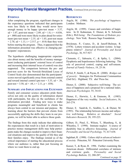### **Improving Financial Management Practices,** *Continued from previous page*

#### **FINDINGS**

After completing the program, significant changes in the expectancy questions indicated that participants were less likely to think they would never have enough money to be happy (pre-test mean  $= 3.37$ ,  $sd = 1.07$ , post-test mean = 2.89, sd = 1.0, t = -4.036, p < .000) and were more likely to plan ahead for retirement (pre-test mean  $= 2.35$ , sd  $= 1.03$ , post-test mean  $= 2.70$ , sd  $= 1.13$ , t  $= 2.517$ , p  $\lt$  0.014) than they were before starting the program. Thus, it appeared that the information presented was effective in changing participants' expectancies.

The hypothesis challenging inappropriate expectancies about money and the benefits of money management (reducing participants' external locus of control and increasing their internal locus of control) was also supported. The comparison between the pre- and post-test score for the Nowicki-Strickland Locus of Control Scale also demonstrated that the participants' scores moved significantly away from external control and toward internal control (pre-test  $= 3.33$ , sd  $= .56$ , post-test = 3.50, sd = .64, t = 2.11, p < .038).

#### **SUMMARY AND IMPLICATIONS FOR EXTENSION**

Family and consumer science educators pride themselves not only on the quality of information shared with participants, but also on the usefulness of the information provided. Finding new ways to make programs meaningful and beneficial to clients has always been central to our mission and purpose. By learning about the barriers that prevent clients from successfully applying the skills they learn in our programs, we will be better able to achieve those goals.

The findings from this study indicate that addressing the expectancies that result in a lack of motivation to practice money management skills may help participants make the changes needed to improve their financial situations and improve the quality of life they and their families enjoy. The findings remind us of the critical importance of starting the educational process where our audience is, rather than just focusing on where we want them to end up.

#### **REFERENCES**

Argyle, M. (1986). *The psychology of happiness.* London: Methuen.

Argyle, M. (1999). Causes and correlates of happiness. In D. Kahneman, E. Diener, & N. Schwartz (Eds.), *Well-being: The Foundations of Hedonic psychology.* New York: Russess Sage Foundation.

Brickman, P., Coates, D., & Janoff-Bulman, R. (1978). Lottery winners and accident victims: Is happiness relative? *Journal of Personality and Social Psychology*, 36, 917-927.

Clements, C., Sabourin, C., & Spiby, L. (2004). Dysphoria and hopelessness following battering: The role of perceived control, coping and self-esteem. *Journal of Family Violence*, 19, 25-36.

DeVol, P., Smith, T., & Payne, R. (2000). *Bridges out of poverty:* Strategies for Professional Communities (2nd Ed.). Highland, TX: aha! Press Inc.

Diener, E. (2000). Subjective well-being: The science of happiness and a proposal for a national index. *American Psychologist,* 55, 34-43.

Diener, E., Horwitz, J., & Emmons, R. (1985). Happiness of the very wealthy. *Social Indicators*, 16, 263-274.

Diener, E. Sandvik, E., Seidlitz, L., & Diener, M. (1993). The relationship between income and subjective well-being: Relative or absolute? *Social Indicators Research,* 28, 195-223.

Gilbert, D., Pinel, E., Wilson, T., Blumberg, S., & Wheatley, T. (1998). Immune neglect: A source of durability bias in affective forecasting. *Journal of Personality and Social Psychology,* 75, 617-638.

Inglehart, R. (1990). *Culture shift in advanced industrial society.* Princeton, NJ: Princeton University Press.

Kasser, T., & Ryan, R. 1996. Further examining the American dream: Differential correlates of intrinsic and extrinsic goals. *Personality and Social Psychology Bulletin,* 22, 280-287.

*Continued on page 18*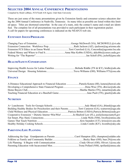### **SELECTED 2004 ANNUAL CONFERENCE PRESENTATIONS**

Compiled by Heidi LeBlanc, FCS/Youth 4-H Agent, Utah State University

These are just some of the many presentations given by Extension family and consumer science educators during the 2004 Annual Conference in Nashville, Tennessee. As many titles as possible are listed within this limited space. Titles are shortened somewhat. In the case of a team, only the contact's name and e-mail are identified. The complete list of all presentations was provided to each participant in their registration packet. A call for papers for upcoming conferences is indicated on the NEAFCS web site.

#### **EXTENSION ISSUES/PROGRAMS**

| Extension FCS Ethics in an Enron WorldTerri Crawford (LA), Concordia@agcenter.lsu.edu |
|---------------------------------------------------------------------------------------|
|                                                                                       |
|                                                                                       |

#### **HEALTH/SAFETY/CONSERVATION**

#### **FINANCE**

| A Distance Educational Approach to Financial Education Pamela Kutara (HI), kutara@hawaii.edu |  |
|----------------------------------------------------------------------------------------------|--|
| Developing a Comprehensive State Financial Program Dena Wise (TN), dkwise@utk.edu            |  |
|                                                                                              |  |
|                                                                                              |  |

#### **NUTRITION**

| Building Healthy Bodies for Preschoolers and their ParentsTerri Cameron (GA), tcameron@uga.edu |  |
|------------------------------------------------------------------------------------------------|--|
|                                                                                                |  |
| Cooperative Extension + Dietetic Interns=Win/Win! Jo-Shuford Law (FL), josl@leonacountyfl.gov  |  |
|                                                                                                |  |
|                                                                                                |  |
|                                                                                                |  |

#### **PARENTING/LIFE PLANNING**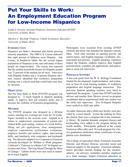# **Put Your Skills to Work: An Employment Education Program for Low-Income Hispanics**

*Linda S. Gossett, Assistant Professor, Extension Educator-EFNEP University of Idaho, Boise*

*Marilyn C. Bischoff, Professor, Family Economics Specialist University of Idaho, Boise*

#### **INTRODUCTION**

Hispanics are Idaho's dominant and fastest growing minority population. The 2000 U.S. Census indicated that eight percent of Idahoans were Hispanic. Ada County, in Southwest Idaho, has the second largest population of Hispanics in the state and many of these people are impoverished. The census also reported that the median household income for Hispanic people was 73 percent of the median for all races. Interviews with Hispanic leaders and a 14-person Hispanic advisory council identified that workforce preparation training was a critical need that would help raise family incomes.

#### **OBJECTIVES**

The Put Your Skills to Work (PYSTW) program was designed to: 1) teach English to Spanish speaking adults, 2) improve their job retention skills, and 3) increase the visibility of Extension programming.

#### **METHOD**

The PYSTW program was designed as a 40-hour course, meeting two evenings per week for 10 weeks. Topics included in the sessions were: English as it relates to employment, assessments of current jobrelated skills, goal setting, creation of a work history, filling out job applications, time management, employer expectations, performance evaluations, employee benefits and workers' rights, interviewing skills, and familiarity with computers and keyboarding. The directors adapted two Cooperative Extension curricula developed for Welfare to Work programs: California's "Gateway to a Better Life" bi-lingual curriculum and Texas' "Moving Ahead Through the Maze of Change." Library books were also used as materials to teach English.

Participants were recruited from existing EFNEP clientele and those who attended the Spanish Catholic Mass. Each class included an opening activity, job search topics, and English language vocabulary, pronunciation and practice. English speaking volunteers helped the Hispanic students improve their English pronunciation, complete job applications, and participate in mock job interviews.

#### **PROGRAM SUPPORT**

A one-year grant from the W. K. Kellogg Foundation funded the development, implementation, and evaluation of four-10 week training modules of workforce preparation and English language instruction. Two part-time Spanish speaking teachers were hired to implement the program. A part-time EFNEP nutrition advisor and teacher from Mexico served as program coordinator and an experienced child care worker was the child care supervisor. Two bi-lingual Hispanic teens worked as child care aides.

An adult classroom and a child care facility were provided by a local church. Across the parking lot from the church, there was a computer lab in the community library. By popular demand, computer literacy and keyboarding were added to the program during the fourth module. Participants gathered at the county Extension office after each 10-week program for a festive graduation celebration where certificates of completion were distributed.

The College of Agriculture Dean, Extension Associate Director and District Director provided moral and financial support to the program. Extension administrators provided interim funding for the teachers' salaries. An advisory committee member, employed as a bank manager, helped Extension educators in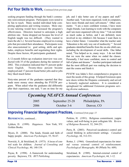### **Put Your Skills to Work,** *Continued from previous page*

seeking program funding through the bank's community reinvestment program. Participants were noted to be fun to teach. Many needed individual help completing applications and writing resumes. More oneto-one tutoring would have increased the program's effectiveness. Directors learned to anticipate a high attrition rate. Some dropped out because the level of English taught was too difficult. (They wanted to learn the abc's.) Several became employed in evening jobs that prevented their attendance. Participants were also unaccustomed to: goal setting, skills and aptitudes, employee benefits and negotiating their rights. Despite these factors, 40 participants graduated.

A 12-month follow-up evaluation interview was conducted with 35 of the graduates during the summer of 2002. This evaluation indicated that 91 percent spoke more English. Twenty-three percent became employed and 17 percent found better jobs and/or jobs they liked much better.

Sixty-nine percent of the graduates reported that they made more money since attending the PYSTW program. When asked what the graduates did differently after their experience, one said, "I am on time for my job, and I take better care of my papers and stuff." Another said, "I am more organized, work in computers, have more friends and more self-esteem." Other comments: "I am a more confident woman, I have more Anglo friends, I am learning to work with the computers and I am more organized with my time." "I do not drink as much sodas as before, and I am definitely more involved in my children's life because I want them to have a better future. I remember what the teacher said, 'Education is the only way out of mediocrity.'" Several graduates identified benefits from the on-site child care, including the development of social skills. One father noted, "You helped us in...many ways. I do not think that we were the same when we ended the classes. Personally, I feel more confident, more in control and full of plans and dreams." Another participant indicated that the most difficult part was making the decision to start the course and finish it.

PYSTW was Idaho's first comprehensive program to meet the needs of this group. It helped Extension open new doors within the Hispanic community and served a formerly neglected audience. It is considered a springboard for additional Extension programs serving diverse audiences.

| <b>Upcoming NEAFCS Annual Conferences</b> |                 |                  |  |  |  |
|-------------------------------------------|-----------------|------------------|--|--|--|
| 2005                                      | September 25-28 | Philadelphia, PA |  |  |  |
| 2006                                      | October 3-6     | Denver, CO       |  |  |  |

### **Improving Financial Management Practices,** *Continued from page 15*

**REFERENCES**, continued...

Lykken, D. (1999). *Happiness.* New York, NY: Golden Books.

Myers, D. (2000). The funds, friends and faith of happy people. *American Psychologist,* 55, 56-67.

Nowicki, S., & Strickland, B. (1973). A locus of control scale for children. *Journal of Consulting and Clinical Psychology*, 40, 148-154.

Payne, R. (1998). A framework for understanding poverty. Baytown, TX: *RFT Publishing.*

Perkins, H. (1991). Religious commitment, yuppie values, and well-being in post collegiate life. *Review of Religious Research,* 32, 244-251.

Perry, R. (2003). Perceived (academic) control and causal thinking in achievement settings. *Canadian Psychology,* 44, 312-331.

Rotter, J. (1966). Generalized expectancies for internal versus external control of reinforcement. *Psychological Monographs,* 80 (Whole No. 609).

Strickland, B. (1989). Internal-external control of expectancies. *American Psychologist*, 44, 1-12.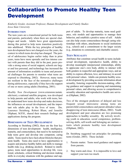# **Collaboration to Promote Healthy Teen Development**

*Kimberly Greder, Assistant Professor, Human Development and Family Studies Iowa State University*

#### **INTRODUCTION**

The teen years are a transitional period for both teens and parents, particularly when there are special challenges and needs. Adults have great opportunities during this period to help teens transition positively into adulthood. While the key principles of healthy teen development have not changed over the years, the context in which teens develop has changed. The period of adolescence begins earlier today than in prior years, teens have more sporadic and less intense contact with parents than they did in the past, peers provide a strong sense of social support, schools are larger and less personal, and technology has increased the amount of information available to teens and presented challenges for parents to monitor what teens are exposed to (Steinberg, 2002). However, many teens are resilient in the face of the normative challenges during adolescence, especially if they have the support of one or more caring adults (Steinberg, 2001).

*Healthy Teen Development* (www.extension.iastate. edu/teen), a national satellite program, was developed to help parents and adults, who work with teens, better understand how teens develop and make decisions, the influences on sexual development, and the important role adults play in the lives of teens. Drs. Laurence Steinberg, Robert Blum, and Jennifer Oliphant, M.P.H., shared their research findings and applications during the program.

#### **DIMENSIONS OF TEEN DEVELOPMENT**

According to Steinberg (2002), there are the four key dimensions of teen development: health, intelligence, maturity, and connectedness, that need to be nurtured to help teens grow and develop into competent, caring adults. Teens need to have facts about lifestyles that promote health. Teens also need to have opportunities to acquire and practice healthy habits and skills to manage health risks (e.g. drinking alcohol). Related to intelligence, teens need opportunities to develop life, vocational, scholastic, critical thinking and decision making skills in everyday situations with the guidance and support of adults. To develop maturity, teens need guidance, role models and opportunities to manage their behavior, and establish a positive sense of self. Adults can also help create connectedness through caring relationships with others, attachments to social institutions (e.g., school) and a commitment to the larger society (e.g., donations to community and charitable causes).

#### **TEEN SEXUALITY**

Attributes that constitute sexual health in teens include: sexual development, reproductive health, ability to develop meaningful interpersonal relationships, ability to appreciate one's own body, ability to interact with both genders in respectful and appropriate ways, and an ability to express affection, love, and intimacy in accord with personal values. Adults can promote healthy sexual development by providing accurate information about sexuality, fostering responsible decision-making, offering guidance and support in exploring and maintaining personal values, and allowing access to comprehensive sexuality education and reproductive health care services (Oliphant, 2002).

Two of the strongest predictors of delayed and less frequent sexual intercourse among teens are parent/child connectedness and parent attitudes/values disapproving of teen intercourse (Blum, 2002). Youth development and peer education are two promising approaches to healthy sexuality. By actively involving youth in education, social competence, problemsolving skills, self-worth and belonging are nurture traits which promote healthy teen development (Oliphant, 2002).

Dr. Steinberg suggested ten principles for parenting teens (Greder, 2003). These include:

- 1. Parents matter. Teens need guidance and support from parents.
- 2. Stay warm and close. It is impossible to love and support your teen too much.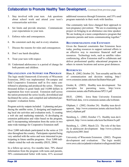### **Collaboration to Promote Healthy Teen Development,** *Continued from previous page*

- 3. Stay involved with your teen. Ask questions about school work and attend your teen's extracurricular activities
- 4. Set limits and provide structure. Communicate your expectations to your teen.
- 5. Enforce rules and consequences.
- 6. Be consistent each day and in every situation.
- 7. Discuss the reasons for rules and consequences.
- 8. Don't use harsh discipline.
- 9. Treat your teen with respect.
- 10. Understand adolescence is a period of change for both parents and children.

#### **ORGANIZATION AND SUPPORT FOR PROGRAM**

The logic model framework (University of Wisconsin Extension, 2002) was implemented. On-campus and field Cooperative Extension staff in five states contributed to planning and produced the series. Thirteen thousand dollars in grant funds and 14,000 dollars in registration fees were secured. Extension staff across the nation promoted the series locally, downlinked and facilitated the series, and compiled and submitted participants' evaluation forms.

Program activity outputs included: 1) planning and producing the satellite series, 2) designing and implementing local site activities and evaluation tools, 3) creating a web site and marketing materials, 4) developing an extension publication and video based on the program, and 5) incorporating information from the series in two state-wide trainings for Cooperative Extension staff.

Over 2,000 individuals participated in the series at 218 sites throughout the country. Participants reported being very satisfied with the series and were interested in participating in future satellite programs. Over 3,000 individuals visited the web site monthly (ISUE, 2004).

In a follow-up survey, five months later, 70% shared information from the program with teens and parents, 58% communicated better with teens, 41% accessed additional resources through Extension, and 35% used program materials in their work with families.

One community task force changed their approach to teen pregnancy prevention: "We are re-examining our project on bringing in an abstinence one-time speaker. We are looking at a more comprehensive program that promotes parents and teens communicating together."

#### **RECOMMENDATIONS FOR EXTENSION**

Given the financial constraints that Extension faces today, pooling resources to support national efforts is an effective way to maximize financial staff and resources. Technology tools, such as satellite videoconferencing, allow Extension staff to collaborate and deliver professional quality educational programs to others in remote locations and across great distances.

#### **REFERENCES**

Blum, R. (2002, October 24). Teen sexuality and the role of communication and decision making, http:// www.extension.iastate.edu/teen/facilitator/blum.pdf

Greder, K. (2003). Healthy teen development: Ten principles for parenting teens, http://www. extension.iastate.edu/Publications/SP213.pdf

ISUE. (2004). Iowa State University Extension WebTrend data, www.extension.iastate.edu/webstats

Oliphant, J. (2002, October 24). Healthy teen development, http://www.extension.iastate.edu/teen/facilitator/j.oliphant.pdf

Steinberg, L. (2002, October 17). Healthy teen devlopment, http://www.iastate.edu/teen/facilitator/ls.pdf

Steinberg, L. (2001, March 22). The role of the family in adolescent development: http://www.cyfernet. org/keynote2001.html

University of Wisconsin Extension. (2002). Program development and evaluation: The logic model, www.uwex.edu/ces/pdande/evaluation/evallogicmodel.html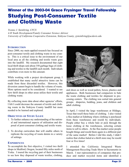# **Winner of the 2003-04 Grace Frysinger Travel Fellowship Studying Post-Consumer Textile and Clothing Waste**

*Yvonne J. Steinbring, CFCS*

*4-H Youth Development/Family Consumer Science Advisor University of California Cooperative Extension, Siskiyou County, yjsteinbring@ucdavis.edu*

#### **INTRODUCTION**

Since 2000, my main applied research has focused on post-consumer textile and clothing waste in my county. This is a critical issue to the environment of our local area as all the clothing and textile waste goes into the landfill. My research documented that eight local thrift shops sent about 350 garbage bags of clothing and textiles to the landfill each month. Individuals contribute even more to this amount.

While working with a project development group, I established that many useful attractive items can be made from these discarded textiles. However, this diversion cannot begin to handle the volume of waste. More options need to be considered. I wanted to see how thrift shops in other areas utilize their textile and clothing waste.

By collecting more data about other agencies' efforts, I felt I could decrease the amount of textile and clothing waste in the Siskiyou County landfill but more needed to be learned and explored.

#### **OBJECTIVES OF STUDY LEAVE**

- 1. To further enhance my understanding of the national and international aspects of utilization and disposal of post-consumer clothing and textile waste.
- 2. To develop curriculum that will enable others to replicate the recycling of waste denim in a variety of settings.

#### **EXPERIENCES**

To accomplish the first objective, I visited two thrift shops in Medford, Oregon, located fifty miles north of Yreka. I toured the recycling part of their businesses to see how they disposed of waste textiles, clothing,



and shoes as well as wood pallets, boxes, plastics and appliances. Both businesses had compactors to bale the waste clothing and textiles for shipment to processing centers. The clothing was sorted into general groups: draperies, bedding, jeans, and children and adult clothing.

In April, I visited the large warehouses at Hildago, Texas that resell these bales of clothing. I also visited a flea market at Edinburg where clothing is purchased from these warehouses and resold by individuals. People either buy a whole bale or pick through the loose clothing at the warehouses, selecting certain items to sell to others. At the flea market some people bought things and resold them again in a different part of the same market! Before I did this study, I didn't realize that clothes baled at a thrift store may be resold four or five times!

I attended the California Integrated Waste Management Recycling Trade Show in Sacramento in March. I met representatives of companies that produce and market recycled items and identified a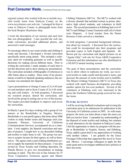### **Post Consumer Waste,** *Continued from previous page*

regional contact who worked with me to include recycled textile items from Siskiyou County on the www.recyclestore.com web site. I arranged for him to come to Siskiyou County to photograph items from the local Hospice Heartisans shop.

I wrote the description of our mission and each item that was photographed. I also proofed the web site, made corrections, provided additional photos, and answered e-mail messages.

To encourage others to use waste textiles and clothing to create and decorate, I developed a 10-unit curriculum specifically about using denim. This included a reference sheet for evaluating garments as well as specific directions for making eleven different items. Prior to writing the curriculum, I made samples of each item to test the directions and to show during my presentations. The curriculum included a bibliography of references to offer future ideas to readers. Since some of my presentations would be to Spanish-speaking audiences, the curriculum was translated into Spanish.

I gave presentations to Orange County (CA) 4-H leaders and members and to Kern County (CA) 4-H clothing and craft leaders. At both programs, I discussed my research project, shared the curriculum, and involved the group in testing one or two of the lessons. The leaders provided feedback to improve and revise the curriculum.

In March, I spent five days working with a group of volunteers at the Borderlinks in Nogales, Mexico. Borderlinks is a non-profit agency that hosts about 2000 visitors to study border issues and language each year. Jeannette Warnert, University of California Communications Services, accompanied me as a translator. I took supplies, the Spanish curriculum and samples of projects. I taught how to use discarded clothing and textiles to make items to sell. The group was anxious to acquire income for their agency as well as themselves. The agency had a used clothing distribution system to supply the materials for these projects. I was also invited by Texas Textiles and Clothing Specialist, Dr. Pamela Brown, to give two presentations at training meetings in April. The first was in San Antonio for 35 Texas Cooperative Extension agents and Master Clothing Volunteers (MCVs). The MCVs worked with a diverse clientele that included women in prison, alternative high school students, and volunteers in thrift stores. The second presentation in Edinburg had over 65 MCVs and Hildago County Extension staff, all of whom were Hispanic. A local teacher from the Parent Resource Center served as a translator.

At both programs, I presented background information about my research. I discussed how the curriculum could be incorporated into their programs and provided copies in both English and Spanish. Dr. Brown put my curriculum and digital pictures on an "Agents Only" web site for Texas A&M Cooperative Extension and this information was also distributed at a NEAFCS annual meeting session.

The goal of these presentations and the curriculum was to allow others to replicate my work, use recovered textiles to make useful and decorative items, and decrease the amount of waste textiles sent to landfills. The Master Clothing Volunteers (MCV) in Texas also worked with small business development, providing another option for low-cost products. Several of the volunteers at Edinburg were very interested in the prices the Northern California group received for similar items.

#### **FUTURE ACTIVITY**

I will be receiving feedback/evaluations and revising the curriculum prior to its submission for publication in the University of California system in 2005. As with many projects, the more you learn about a topic the more you find you need to learn. I expanded my understanding of the disposal of waste textiles and clothing, but continue to seek alternatives for the situation in Siskiyou County. I feel the opportunity to share my program with the people at Borderlinks in Nogales, Sonora, and Edinberg, Texas, added a great deal to my appreciation of working with another culture. I am grateful for the Grace Frysinger Fellowship that supported this travel to Texas and Mexico. I encourage colleagues to apply for this study grant and to investigate sabbatical leave policies at their university.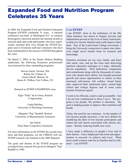# **Expanded Food and Nutrition Program Celebrates 35 Years**

In 2004, the Expanded Food and Nutrition Education Program (EFNEP) celebrated 35 years. A national conference was held in Washington D.C. to continue the program's direction and provide national awards to selected adult and youth participants who have significantly enriched their lives though the EFNEP program and to Extension staff and volunteers who have been instrumental in the success of EFNEP throughout the years.

On March 2, 2004, in the Senate Dirksen Building auditorium, the following Extension professionals were honored for their outstanding programs:

> Steven Garett, Tacoma, WA Robin Orr, Urbana, IL Susan Uthoff, Marion, IA Karen K. Wilken, Fort Collins, CO

Honored as EFNEP CHAMPIONS were:

Elgio "Kika" de la Garza, Retired Congressman

Linda Melcher, University of Wyoming Extension

Margaret "Peg" Randall, Retired University of Massachusetts Extension

Jan Scholl Penn State Cooperative Extension

For more information on the EFNEP, the awards nominees and their programs, see the CSREES web site. EFNEP research was featured in the 2004 Reporter.

The goals and dreams of the EFNEP program are excerpted from a speech first given by Margaret "Peg" Randall in 1988:

#### **I AM EFNEP**

I am EFNEP—born in the turbulence of the 60s when attention was drawn to hunger, poverty and malnutrition present in the lives of many Americans, to help low-income families and youth improve their diets. Part of the Land Grant College movement, I bring the University connection to many who otherwise might never benefit from its research and knowledge.

Nutrition assistants are my eyes, hands, and heart who teach, care, and go the extra mile delivering nutrition education messages to a large, ethnically diverse population. Their dedication, compassion and commitment along with the thousands of volunteers who donate their efforts, has brought personal growth and career opportunities to clients, as they increased self-esteem, left welfare, found better jobs, improved their nutritional status, earned high school and college degrees and in some cases became Extension agents.

I work to be efficient, creative and accountable—but I do not lose commitment to those I serve. My program is my people. My product is education. My goal is helping people to improve their nutrition and health.

Today, the need for me continues. As the number of low-income people increases, I can save dollars by modifying the diets of low-income participants and reduce the risk factors associated with chronic diseases—thereby reducing health care costs.

I have made a difference in people's lives and in their futures. I have helped provide tools and opportunities to succeed—to achieve and excel. What more could a nation want for its families and its children? I am EFNEP!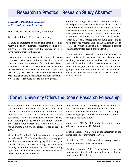## **Research to Practice: Research Study Abstract**

#### **TEACHING PROBLEM READERS: A MIXED-METHOD APPROACH**

Fran T. Fleener, Ph.D., Pullman, Washington

Jan F. Scholl, Ph.D., Penn State University

Reading is important to health and other life skills. Many Extension educators coordinate reading programs or are concerned with the literacy levels of those reading their publications.

Nearly every primary classroom in America has some youngsters who have problems learning to read. Although there are advocates for continued phonics studies as a remedial, a mixed method may actually be more successful. Ten second and third grade youth were identified by their teachers as having trouble learning to read. Taught outside the classroom one hour three times a week, the readers were divided into two groups.

Group 1 was taught with the classroom text and continued phonics instruction under supervision. Group 2 used a pre-primer text with a mixed method featuring teacher modeling and rapid group reading. No pauses were permitted to allow the children to lose their train of thought. At the end of 4.5 months, all of the students in Group 2 passed into the next grade due to their improved reading. None of the children in Group 1 did. The youth in Group 2 also expressed a greater enthusiasm toward reading than Group 1.

More research is needed to determine whether the remarkable results are due to the curricula, the group reading, the fast pace of the instruction, group vs. individual reading or all of these factors. Additional trials for varying lengths of time and additional groups, adult and non-English speaking audiences, and instructors are indicated to confirm the results of this method.

# **Cornell University Offers the Dean's Research Fellowship**

Each year, the College of Human Ecology at Cornell University and the Mann and Kroch libraries at Cornell University offer a six-week continuous fellowship to study any aspect of home economics/family and consumer sciences history. The fellowship was the result of the national conference, *Rethinking Women and Home Economics in the Twentieth Century*, sponsored by the college in 1991.

More than 22 individuals have taken advantage of this fellowship. The deadline is in March every year and the selections are made by April 1 to study at Cornell (Ithaca, New York) during the same year, (usually during the summer). This is a very exciting opportunity as the AAFCS archives have been transferred to the Cornell libraries.

Information on the fellowship may be found at: http://www.human.cornell.edu/history/main.cfm. The application can be found on this site as well as a pictorial listing of past fellows and their topics. Some of the topics are listed below:

Grant, Julie. (1992). Child study clubs and the parent education movement, 1915-1940.

Stupski, Karen (1996). Role of the laboratory in the home economics movement 1900-30.

Scholl, Jan (2002). Educational technology used by home economists in the 20th century.

Bittekoff, Charlotte (2003). The problem of changing food habits, national well-being, nutritional health and food reform, 1937-1946.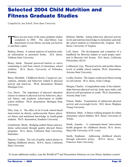# **Selected 2004 Child Nutrition and Fitness Graduate Studies**

*Compiled by Jan Scholl, Penn State University*

These are just some of the many graduate studies completed in 2004. The inter-library loan department of your library can help you borrow or purchase copies.

Bohney, Donna. A content analysis of nutrition-related information in preschool books. M.S. thesis, Valdosta State University.

Boury, Sarah. Parental perceived barriers to active commuting to and from school of elementary school children. M.A. thesis, University of Nebraska, Kearney.

Bruss, Mozhdeh. Childhood obesity: Caregivers' perceptions, attitudes and behaviors related to physical activity and inactivity. Ph.D. dissertation, Western Michigan Univ.

Coe, Dawn. The importance of physical education classes in relation to physical activity behaviors, physical fitness, and academic achievement in middle school children. Ph.D. dissertation, Michigan State University.

Ellis, Joan, A. The effect of an 8-week school-based intervention on obesity, cardiovascular fitness, physical fitness and nutritional knowledge in fourth-grade students. Ph.D. dissertation, Southern University.

Gianfortone, Sheila. Bridging student fitness and academic achievement through quality physical fitness programs. M.A. thesis, California State University, Stanislaus.

Hanson, Cynthia. The role of public school district in fighting childhood obesity. M.P.A. thesis, California State University.

Hellems, Martha. Eating behaviors, physical activity levels and nutrition knowledge in elementary and middle school students in Charlottesville, Virginia. M.S. thesis, University of Virginia.

Leff, Jamie. The development and evaluation of a handbook for Brownie leaders to teach proper nutrition to Brownie Girl Scouts. B.S. thesis, California Polytechnic (SLO).

LeMasurier, Guy. Physical activity and aerobic fitness levels of middle school students. Ph.D. dissertation, Arizona State University.

Leuthe, Kristen. The impact of physical fitness testing on self-esteem. M.A. thesis, Gratz College.

Morgan, Charles. A longitudinal study of the relationships between physical activity, body mass index, and physical self-perceptions in youth. Ph.D. dissertation, Arizona State Univ.

Nelson, Maika. Examination of adolescent physical activity and overweight levels. M.S. thesis, Brigham Young University.

Robinson, Mark. A fitness walking program for urban elementary school children. M.E. thesis, University of Toledo.

Smith, Annette. A community-based intervention health program for childhood obesity. M.A. thesis, Maryville University of St. Louis.

Smith, Stephanie. Addressing childhood obesity through education policy. M.P.A. thesis, San Francisco State University.

To locate additional studies, scan the WorldCat™ and Dissertation Abstracts on your library database system!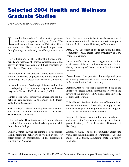# **Selected 2004 Health and Wellness Graduate Studies**

*Compiled by Jan Scholl, Penn State University*

Iterally hundreds of health related graduate<br>studies are completed each year. These 2004<br>studies are relevant to current Extension efforts<br>and initiatives These can be loaned or purchased studies are completed each year. These 2004  $\overrightarrow{I}$  studies are relevant to current Extension efforts and initiatives. These can be loaned or purchased through college or university interlibrary loan services.

Brown, Shannon, L. The relationship between bone density and measures of fitness, physical function, and activity in older obese adults with knee osteoarthritis. M.S. thesis, Wake Forest University.

Dalton, Jonathan. The effects of writing about a future stressful experience on physical health and cognitive functioning. Ph.D. dissertation, Fordham University.

Eastwood, Jo Ann. Psychological factors and healthrelated quality of life in patients diagnosed with coronary heart disease. Ph.D. dissertation, UCLA.

Hunter, Leslie-Anne. Improving adherence to the diabetic self-care regimen: A pilot study. M.S. thesis, Wake Forest University.

Kirk, Alicia, G. The relationship between loneliness and physical health of senior adults. M.A. thesis, Siena Heights University.

Little, Yolanda. The effectiveness of restraint alternatives for fall prevention in the elderly population, M.S. thesis, Touro College.

Luther, Cynthia. Living the coming of osteoporosis: Health promotion behaviors of women at risk for osteoporosis in Mississippi. Ph.D. dissertation, University of Alabama.

Mou, Jin. A community health needs assessment of selected communicable diseases in low-income populations. M.P.H. thesis, University of Wisconsin.

Pane, Cori. The effect of stroke education in a rural community. M.S. thesis, State University of New York, Binghamton.

Parks, Jennifer. Health care strategies for responding to domestic violence: A literature review. M.P.H. thesis, University of Texas School of Public Health, Houston.

Payne, Patrea. Sun protection knowledge and practices among adolescents in a rural, coastal community. M.S. thesis, Florida State University.

Reinhart, Amber. America's self-reported use of the Internet to access health information: A systematic review of the literature. M.A. thesis, State University of New York, Buffalo.

Tolan-Halleck, Melissa. Reflections of learners in an on-line environment: Attempting to apply learned knowledge as part of a weight management program. M.S. thesis, Michigan State University.

Vaughn, Stephanie. Factors influencing middle-aged and older Latin American women's participation in physical activity. Ph.D. dissertation, University of San Diego.

Zaman, A. Katie. The need for culturally appropriate visual aids in health education for minorities: A focus study. M.S. thesis, Minnesota State University, Mankato.

To locate additional studies, scan the WorldCat™ and Dissertation Abstracts on your library database system!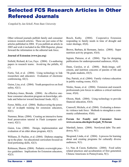# **Selected FCS Research Articles in Other Refereed Journals**

*Compiled by Jan Scholl, Penn State University*

Other refereed journals publish family and consumer sciences research articles. These are just some of the articles published in 2004. If you publish an article in 2005 and wish it included in the 2006 Reporter, please forward the information to the editorial task force.

#### **Journal of Extension (www.joe.org)**

Enfield, Richard, & Lee, Faye. (2004). Co-authoring papers in research teams: Avoid-ing the pitfalls, 42 (1).

Furtis, Ted, et al. (2004). Using technology to link researchers and educators: Evaluation of electronic conferencing, 42(1).

Guion, Lisa, et al. (2004). Youth perspectives on food safety, 42(1).

Killackey-Jones, Brenda. (2004). An effective onehour consumer education program on knowledge, attitude and behavior toward functional foods, 42(1).

Ferrer, Millie, et al. (2004). Rediscovering the potential of in-depth training for extension educators, 42(1).

Nummer, Brian. (2004). Creating an interactive home food preservation tutorial in Flash (computer software), 42(1).

Guion, Lisa. (2004). Design, implementation and evaluation of an elder abuse program, 42(3).

Williams, D. Pauline, et al. (2004). Diabetes stepping up to the plate: An educational curriculum focused on food portioning skills, 42(3).

Robinson, Sharon. (2004). Pediatric overweight practice guidelines: Implications for Extension educators, 42(3).

Bosch, Kathy. (2004). Cooperative Extension responding to family needs in time of drought and water shortage, 43(4).

Brown, Barbara, & Hermann, Janice. (2004). Super nutrition activity program, 43(4).

Ingram, Patreese, et al. (2004). Tips for designing publications for underrepresented audiences, 43(4).

Dunn, Carolyn, et al. (2004). Body-image, selfesteem, and nutrition concerns of parents of 6th and 7th grade students, 43(5).

Day, Patrick, et al. (2004). Family violence education in public waiting rooms, 43(5).

Nitzke, Susan, et al. (2004). Extension and research professionals join forces to address a critical nutrition issue, 43(4).

Oleson, Mark. (2004). Using technology to provide financial education, 43(4).

Cranwell, Michele, et al. (2004). Evaluating a domestic violence task force: Methods to strengthen a community collaboration, 43(6).

#### **Forum for Family and Consumer Issues www.ces.ncsu.edu/depts/fcs/pub\_91/forum**

Marshall, James. (2004). Newlywed debt: The antidowry, 9(1).

Skogrand, Linda, et al. (2004). A process for learning about and creating programs for culturally diverse audiences, 9(1).

Lv, Nan, & Cason, Katherine. (2004). Food safety related practices and acculturation of first generation Chinese Americans in Pennsylvania, 9(1).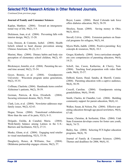### **Selected FCS Research Articles in Other Refereed Journals,**

*Continued from previous page*

#### **Journal of Family and Consumer Sciences**

Kaplan, Matthew. (2004). Toward an intergenerational way of life, 96(2), 5-9.

Dickinson, Joan, et al. (2004). Preventing falls with interior design, 96(2), 13-20.

Liou, Doreen, & Contento, Isobel. (2004). Health beliefs related to heart disease prevention among Chinese Americans, 96 (2), 21-7.

Murimi, Mary. (2004). Dietary habits and body size perception of elementary school children, 96(2), 45- 51.

Birckmayer, Jennifer, et al. (2004). Parenting the second time around, 96(2), 53-54.

Geyer, Bonnie, et al. (2004). Grandparents University: Wisconsin program unites generations, 96(2), 55-55.

Coffman, Charlotte. (2004). Handmade items comfort Alzheimer's patients, 96(2), 58-59.

Gorman, Patricia, & Kiss, Elizabeth. (2004). Securing retirement dreams, 96(2), 59-60.

Clark, Lois, et al. (2004). Newsletter addresses stepfamily issues, 96(2), 62-63.

Hogue, Teresa. (2004). Transitional collaboration: More than the sum of its parts, 92(3), 8-11.

Delgado, Enilda, & Canabal, Maria. (2004). Work/family balance among Latinos in the U.S.: Barriers and facilitators, 92(3), 27-31.

Muske, Glenn, et al. (2004). Engaging rural retailer in visual merchandising, 92(3), 53-56.

Daugherty, Renee, & Williams, Sue. (2004). Oklahoma partnership engages citizens, 96(2), 57.

Boyer, Luann. (2004). Rural Colorado task force offers diabetes education, 96(3), 58-59.

Shockey, Susan. (2004). Saving money in Ohio, 96(3), 60-61.

Stovall, Celvia. (2004). Extension partners on financial programs for refugees, 96(3), 64.

Myers-Walls, Judith. (2004). Positive parenting: Key concepts & resources, 96(4), 10-3.

Greger, Kimberly. (2004). Iowa curriculum strengthens core competencies of parenting educators, 96(4), 14-21.

Scholl, Jan, Cason, Katherine, & Cherry, Tom. (2004). Teaching food preparation with video flash cards, 96(4), 55-57.

DeBord, Karen, Head, Sandra, & Sherrill, Connie. (2004). Parenting education with a captive audience, 96(4), 58-59.

Crocoll, Caroline. (2004). Grandparents raising grandchildren, 96(4), 59-60.

Smith, Charles, & Chandler, Lori. (2004). Building community support for parent education, 96(4), 61.

Walker, Susan, & Nelson, Pat. (2004). Effective parenting education through age-paced newletters, 96(4), 67-68.

Jensen, Christine, & Serfustini, Ellen. (2004). Utah State Extension develops course for foster care youth, 96(4), 74-75.

Bailey, Sue. (2004). Selecting FCS higher education programs, 96(4), 78.

Journal of Family & Consumer Sciences. (2004). Themes and deadlines for 2006, 96(4), 81.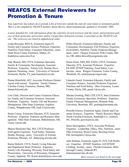# **NEAFCS External Reviewers for Promotion & Tenure**

*Your supervisor has asked you to provide a list of reviewers outside the state for your tenure or promotion packet. This is a list compiled by NEAFCS member, Susan Morris, skmorris@umd.edu, updated in November 2004.*

*A more detailed list, with information about the expertise of each reviewer and the tenure and promotion policies of their particular universities and/or Cooperative Extension systems, is provided on the NEAFCS web site. The reviewers are listed in alphabetical order.*

Linda Bowman, RD/LN, Extension Agent IV, Family and Consumer Science Professor, Expertise: Nutrition, Food Safety, Consumer Education...more. Santa Rosa County Extension, Milton, FL lindab@co.santa-rosa.fl.us

Judy Branch, MS, CFCS, Extension Specialist Family & Community Development, Associate Professor. Expertise: Family Life, Human Development, Parenting...more. University of Vermont Extension, Berlin, VT, judy.branch@uvm.edu

Donna Brinsfield, AFC, Associate Professor (Senior Agent with tenure). Expertise: Family Finance. Caroline County Extension, Denton, MD, donnavb@umd.edu

Lois Clark, Director and County Extension Educator, Family and Consumer Sciences, Associate Professor. Expertise: Family Life and Resource Management. Ohio State Extension, Auglaize County, Waupakoneta, OH, clark.21@osu.edu

Susan Crusey, Extension Educator, FCS, Associate Professor. Expertise: Nutrition and Resource Management. Ohio State Extension, Bellefontaine, OH, crusey.1@osu.edu

Sharon Hoelscher Day, MA, CFCS Professor (Full agent) Expertise: Food Safety, Nutrition, Health, Housing...more. University of Arizona Extension, Phoenix, AZ shday@ag.arizona.edu

Karen Dickrell, CFCS, Family Living Educator and Department Head, Professor. Expertise: Family Life, Parenting, Diversity, Food Safety and Preservation. University of Wisconsin, Outagamie County, Appleton, WI, Karen.dickrell@ces.uwex.edu Debra Driscoll, Extension Educator, Family and Community Development, Full Professor, Expertise: Food Safety, Nutrition, Family Financial Management...more. Oregon Extension, Polk County, Dallas, OR, debra.driscoll@oregonstate.edu

Karen Ensle, EdD, RD, FADA, CFCS, Extension Educator, FCS, Associate Professor. Expertise: FS-NEP, EFNEP Nutrition, Food Safety, Low-Income...more. Rutgers Extension, Union County, Westfield, NJ, ensle@aesop.rutgers.edu

Linnette Goard, Extension Educator, Family and Consumer Science, Assistant Professor, Expertise: Nutrition and Food Safety. Ohio Extension, Lorain County, Elyria, OH, goard.1@osu.edu

Marsha Goetting, PhD, CFP, CFCS, State Extension Family Economics Specialist, Professor. Expertise: Family Financial Management, Montana State University, Bozeman, MT, goetting@montana.edu

Priscilla Graves, Extension Agent, Family and Consumer Sciences. Expertise: Family Resource Mgmt. North Carolina Extension, Randolph Co., Aseboro, NC, Priscilla\_graves@ncsu.edu

Doris Herringshaw, CFCS, Associate Professor, Expertise: Leadership, Ethics, Diet, Nutrition...more. Ohio Extension, Wood County, Bowling Green, OH, herringshaw.1@osu.edu

Julie Holman, Extension Agent IV, FCS, Full Professor. Expertise: EFNEP, Nutrition, 4-H EFNEP, Clothing, Textiles...more. Florida Extension, Hillsborough County, Oshkosh,WI, holman@mail.ifas.ufl.edu

*More reviewers are listed on the next page*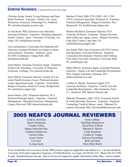### **External Reviewers,** *Continued from previous page*

Christine Kniep, Family Living Educator and Dept. Head, Professor. Expertise: Family Life...more. Wisconsin, Extension, Winnebago Co., Oshkosh, WI, christine.kniep@ces.uwex.edu

Jo Ann Koch, PhD, Extension Area Specialist Associate Professor. Expertise: Parenting education, Family Literacy...more. University of Nevada, Las Vegas, NV, kochj@unce.unr.edu

Lisa Lachenmayer, Curriculum Development and Outreach, Assistant Professor (no longer in tenure track position) Expertise: Nutrition...more. FS-NEP Coordinator, College Park, MD, llachenm@umd.edu

April Martin, Associate Extension Agent. Expertise: Family/Life, Parenting. University of Tennessee Extension, Carthage, TN, amartin3@utk.edu

Daryl Minch, Extension Educator, Family & Consumer Health Sciences, Assoc. Professor (tenured county department head). Expertise: Food Safety. Rutgers Extension, Somerset County, Bridgewater, NJ, minch@rce.rutgers.edu

Susan Morris, AFC, Extension Educator, FCS, Professor/Principal Agent. Expertise: Financial Management. Maryland Extension, Montgomery County, Derwood, MD, skmorris@umd.edu

Barbara O'Neill, PhD, CFP, CRPC, AFC, CHC, CFCS, Extension Specialist, Professor II., Expertise: Financial Management. Rutgers Extension, New Brunswick, NJ, oneill@aesop.rutgers.edu

Marilou Rochford, Extension Educator, FCS Associate Professor. Expertise: Human Development (child care, aging...more). Rutgers Extension, Cape May County, Cape May, NJ, rochford@aesop.rutgers.edu

Jan Scholl, PhD, State Extension 4-H FCS Curriculum Specialist, Associate Professor. Expertise: Curriculum Development, Nutrition and Clothing. Penn State University Extension, University Park, PA, jscholl@psu.edu

Debra Shriver, Extension Agent, Associate Professor Expertise: Family Life and Leadership Development West Virginia Extension, Fairmont, WV, dsshriver@mail.wvu.edu

Cynthia R. Shuster, Extension Agent, FCS Associate Professor. Expertise: Family Life and Leadership Development. Ohio Extension, Perry Co., Somerset, OH, Shuster.24@osu.edu

Deborah Thomason, EdD, CFLE, Extension Family & Youth Specialist, Professor. Expertise: Financial Counseling, Youth & Money...more. Missouri Extension, Savannah, MO, TravinichekR@missouri.edu

# **2005 NEAFCS JOURNAL REVIEWERS**

Linda K. Bowman Diana Christensen Claudia Collins Sharon Hoelscher Day Chutima Ganthavorn Carolyn Gilles Jessye Goertz Lou Gorr Jo Anne Kock

Heidi LeBlanc Nadezhda Mamontova David Paul O'Brien Deborah S. Shriver Cindy Strasheim Cynthia B. Torppa Rebecca Travnichek Beth Van Horn Mary Ellen Welch

If you would like to be a reviewer for the 2006 journal, request an application and submit it to: Lee Ann Kendrick, University of Nevada Cooperative Extension, 2324 Red Rock St., Las Vegas, NV 89146-3157. Phone 702-257-5598 E-mail: Kendrickl@unce.unr.edu. Past reviewers are required to update information before May 1 and as needed.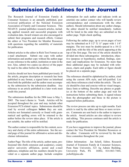# **Submission Guidelines for the Journal**

The Research Journal of Extension Family & Consumer Sciences is an annually published, peer reviewed publication of the National Extension Association of Family and Consumer Sciences. This NEAFCS journal publishes research articles, including applied research and successful programs with evaluation data. Award winners are also encouraged to submit their programs and research efforts. Contact the editor or Vice President for Member Resources with questions regarding the suitability of materials for publication.

Submit articles to the editor in Rich Text Format as an e-mail attachment. Submit one copy with author information and another copy without the author page or any reference to the author, institution or state in the text. Also, submit two copies (as above) of the paper by mail to the editor before the deadline.

Articles should not have been published previously. If the article, program description or research has been published in any format, a signed letter on letterhead from both the publisher and the author must accompany the submission by the submission deadline. Any reference to an article published in a later work must credit this journal.

The submission deadline for the 2006 issue is May 1, 2005. The issue's theme is: Youth. Articles will be accepted throughout the year and may include other Extension FCS related topics. Submissions should be read by several colleagues **before** they are sent. Articles not formatted correctly or found with grammatical and spelling errors will be returned to the author before the review takes place. If the article is not suitable, the author will be notified.

The author contact is responsible for the content, accuracy and clarity of the entire submission. See the second page of this journal for affirmative action and disclaimer information.

Author Page: The title of the article, author name, professional title (both extension and academic), county and/or university affiliation, postal and e-mail addresses, telephone and fax numbers should be provided on a separate author page. Include complete information for each author and indicate (with an asterisk) one author contact who will handle review correspondence and communicate with the other authors. Should information about any author change, the editor should be notified immediately. Authors will be listed in the order they are submitted on the author page. Triple check spelling.

Following the author page, up to seven pages of text may be submitted on  $8 \frac{1}{2}$ " X  $11$ " paper with  $1 \frac{1}{4}$ " margins. The text must be double-spaced in a 10-12 pitch font, with the title of the article appearing at the top of the first page. The text of the article should be divided into these subcategories: introduction, objective (purpose or hypothesis), method, findings, summary and implications for Extension. No more than three additional pages may be included with references, charts and graphs. Each table or figure should be placed on a separate page.

The references should be alphabetical by author, cited using the current APA style, and left-justified. List only those references cited within the article. The article should be clear and concise with no visual images, fancy fonts or tabbing. Describe any photos or graphics at the bottom of the author page and wait for instructions before submitting them. A signed release from the photographer and those in the picture is required before publication.

The review process can take up to eight months. Each article is read by the editor and three or more reviewers. Comments are sent back to the author to improve the article. Award articles are also subject to review and editing. This process continues until the article is ready for publication.

If you have suggestions to improve the journal, please contact the Vice President for Member Resources or the editor. Comments will be reviewed by the task force committee throughout the year.

Editor Information: Jan Scholl, Editor, Research Journal of Extension Family & Consumer Sciences, Penn State University, 323 Ag Admin Building, University Park, PA 16802, 814-863-7444, jscholl@psu.edu